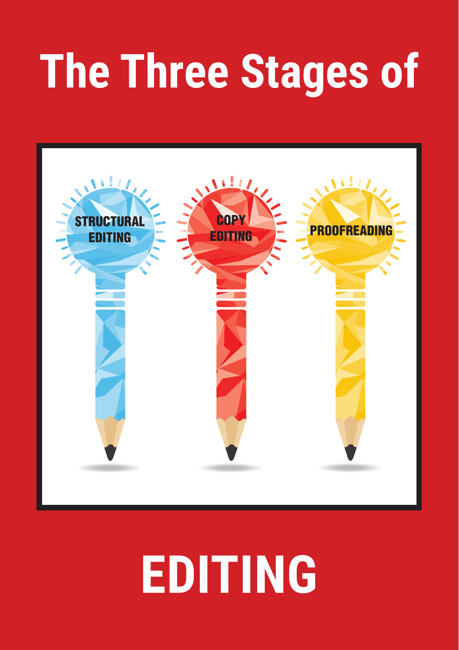# **The Three Stages of**



## **EDITING**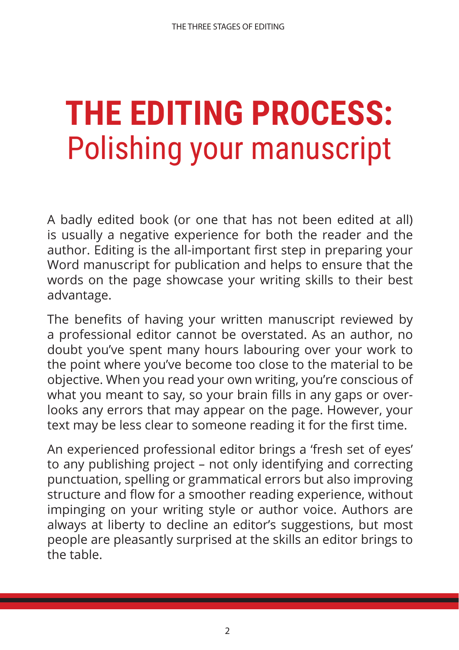#### **THE EDITING PROCESS:**  Polishing your manuscript

A badly edited book (or one that has not been edited at all) is usually a negative experience for both the reader and the author. Editing is the all-important first step in preparing your Word manuscript for publication and helps to ensure that the words on the page showcase your writing skills to their best advantage.

The benefits of having your written manuscript reviewed by a professional editor cannot be overstated. As an author, no doubt you've spent many hours labouring over your work to the point where you've become too close to the material to be objective. When you read your own writing, you're conscious of what you meant to say, so your brain fills in any gaps or overlooks any errors that may appear on the page. However, your text may be less clear to someone reading it for the first time.

An experienced professional editor brings a 'fresh set of eyes' to any publishing project – not only identifying and correcting punctuation, spelling or grammatical errors but also improving structure and flow for a smoother reading experience, without impinging on your writing style or author voice. Authors are always at liberty to decline an editor's suggestions, but most people are pleasantly surprised at the skills an editor brings to the table.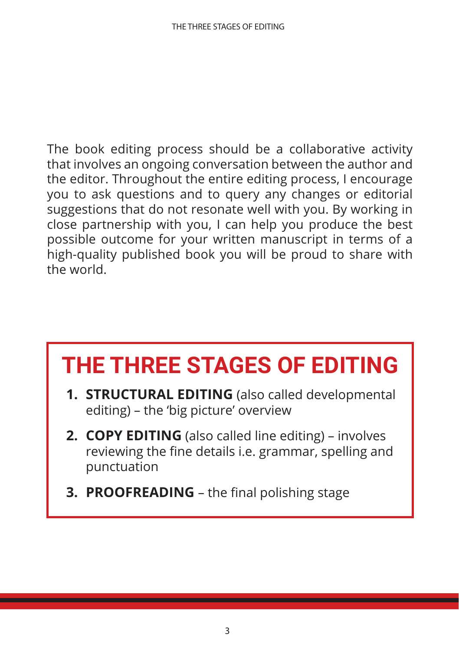The book editing process should be a collaborative activity that involves an ongoing conversation between the author and the editor. Throughout the entire editing process, I encourage you to ask questions and to query any changes or editorial suggestions that do not resonate well with you. By working in close partnership with you, I can help you produce the best possible outcome for your written manuscript in terms of a high-quality published book you will be proud to share with the world.

#### **THE THREE STAGES OF EDITING**

- **1. STRUCTURAL EDITING** (also called developmental editing) – the 'big picture' overview
- **2. COPY EDITING** (also called line editing) involves reviewing the fine details i.e. grammar, spelling and punctuation
- **3. PROOFREADING**  the final polishing stage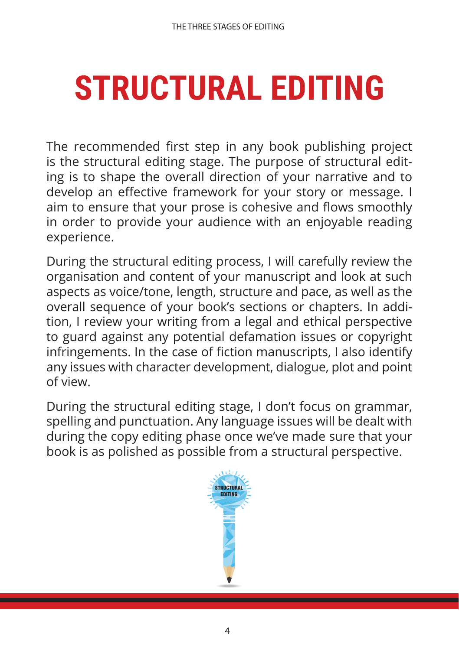## **STRUCTURAL EDITING**

The recommended first step in any book publishing project is the structural editing stage. The purpose of structural editing is to shape the overall direction of your narrative and to develop an effective framework for your story or message. I aim to ensure that your prose is cohesive and flows smoothly in order to provide your audience with an enjoyable reading experience.

During the structural editing process, I will carefully review the organisation and content of your manuscript and look at such aspects as voice/tone, length, structure and pace, as well as the overall sequence of your book's sections or chapters. In addition, I review your writing from a legal and ethical perspective to guard against any potential defamation issues or copyright infringements. In the case of fiction manuscripts, I also identify any issues with character development, dialogue, plot and point of view.

During the structural editing stage, I don't focus on grammar, spelling and punctuation. Any language issues will be dealt with during the copy editing phase once we've made sure that your book is as polished as possible from a structural perspective.

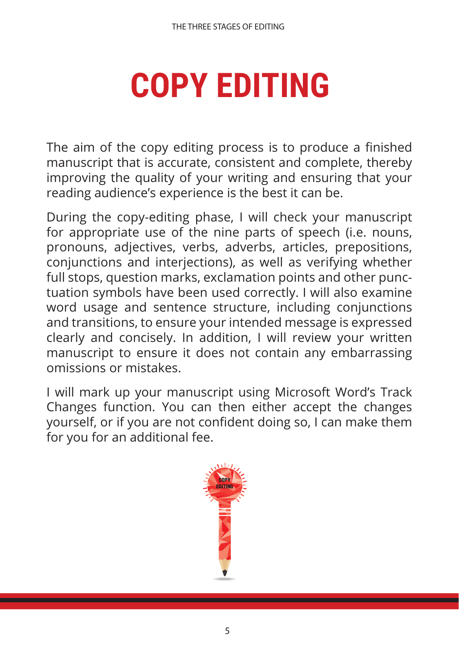## **COPY EDITING**

The aim of the copy editing process is to produce a finished manuscript that is accurate, consistent and complete, thereby improving the quality of your writing and ensuring that your reading audience's experience is the best it can be.

During the copy-editing phase, I will check your manuscript for appropriate use of the nine parts of speech (i.e. nouns, pronouns, adjectives, verbs, adverbs, articles, prepositions, conjunctions and interjections), as well as verifying whether full stops, question marks, exclamation points and other punctuation symbols have been used correctly. I will also examine word usage and sentence structure, including conjunctions and transitions, to ensure your intended message is expressed clearly and concisely. In addition, I will review your written manuscript to ensure it does not contain any embarrassing omissions or mistakes.

I will mark up your manuscript using Microsoft Word's Track Changes function. You can then either accept the changes yourself, or if you are not confident doing so, I can make them for you for an additional fee.

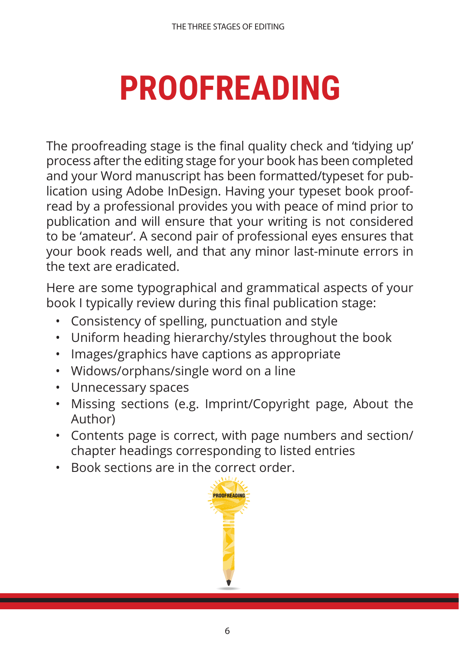## **PROOFREADING**

The proofreading stage is the final quality check and 'tidying up' process after the editing stage for your book has been completed and your Word manuscript has been formatted/typeset for publication using Adobe InDesign. Having your typeset book proofread by a professional provides you with peace of mind prior to publication and will ensure that your writing is not considered to be 'amateur'. A second pair of professional eyes ensures that your book reads well, and that any minor last-minute errors in the text are eradicated.

Here are some typographical and grammatical aspects of your book I typically review during this final publication stage:

- Consistency of spelling, punctuation and style
- Uniform heading hierarchy/styles throughout the book
- Images/graphics have captions as appropriate
- Widows/orphans/single word on a line
- Unnecessary spaces
- Missing sections (e.g. Imprint/Copyright page, About the Author)
- Contents page is correct, with page numbers and section/ chapter headings corresponding to listed entries
- Book sections are in the correct order.